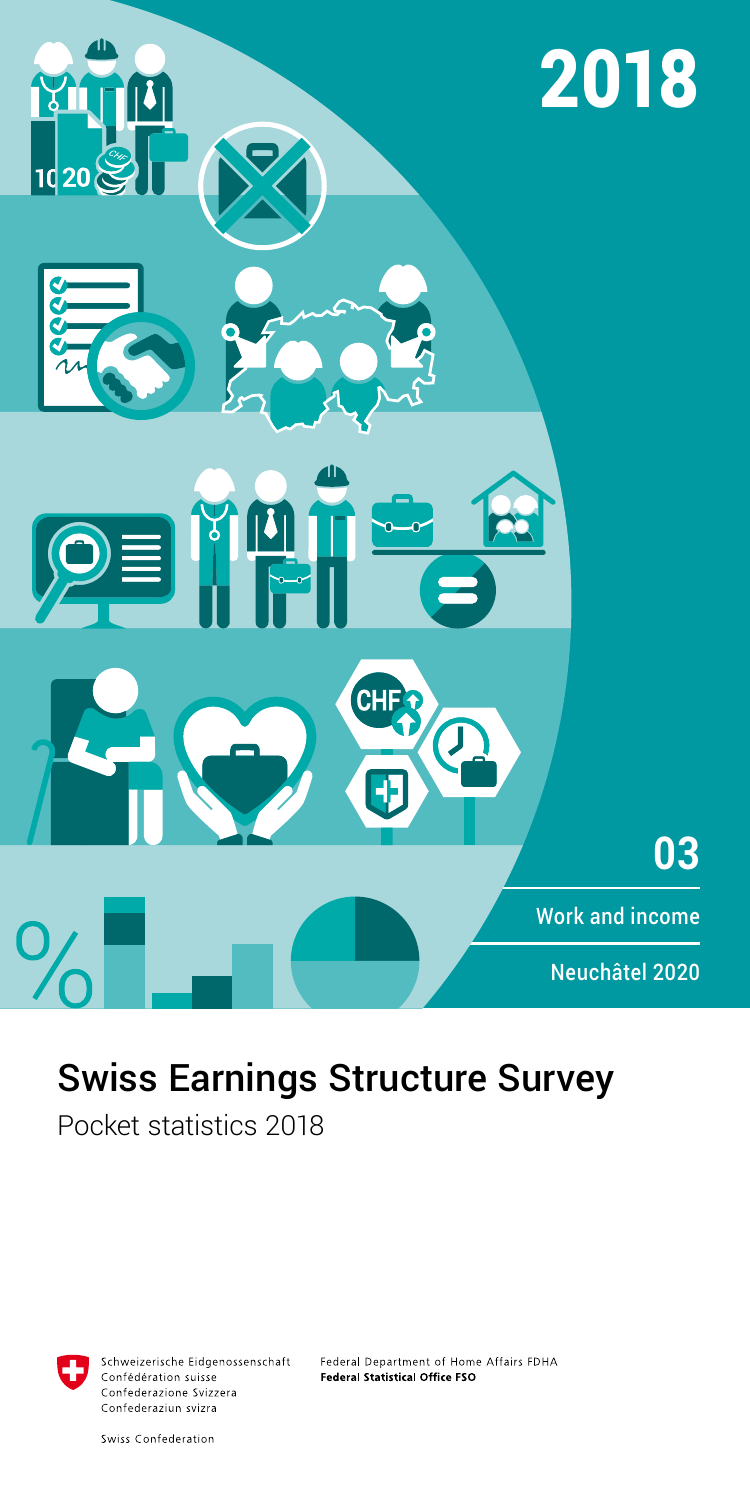

# Swiss Earnings Structure Survey

Pocket statistics 2018



Schweizerische Eidgenossenschaft Confédération suisse Confederazione Svizzera Confederaziun svizra

Federal Department of Home Affairs FDHA Federal Statistical Office FSO

Swiss Confederation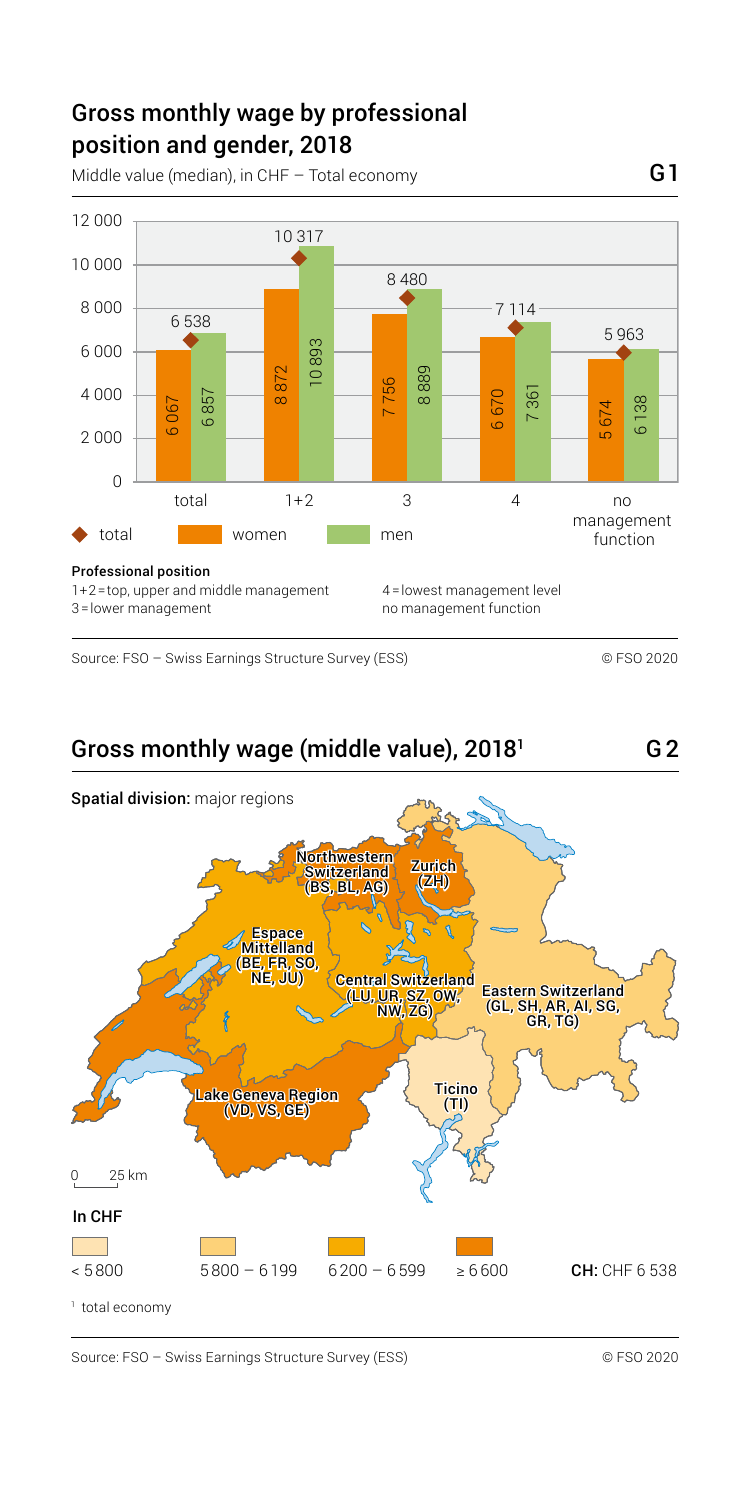## Gross monthly wage by professional position and gender, 2018

Middle value (median), in CHF – Total economy  $G1$ 



Source: FSO – Swiss Earnings Structure Survey (ESS) © FSO 2020

G2

#### Gross monthly wage (middle value), 20181



Source: FSO – Swiss Earnings Structure Survey (ESS) © FSO 2020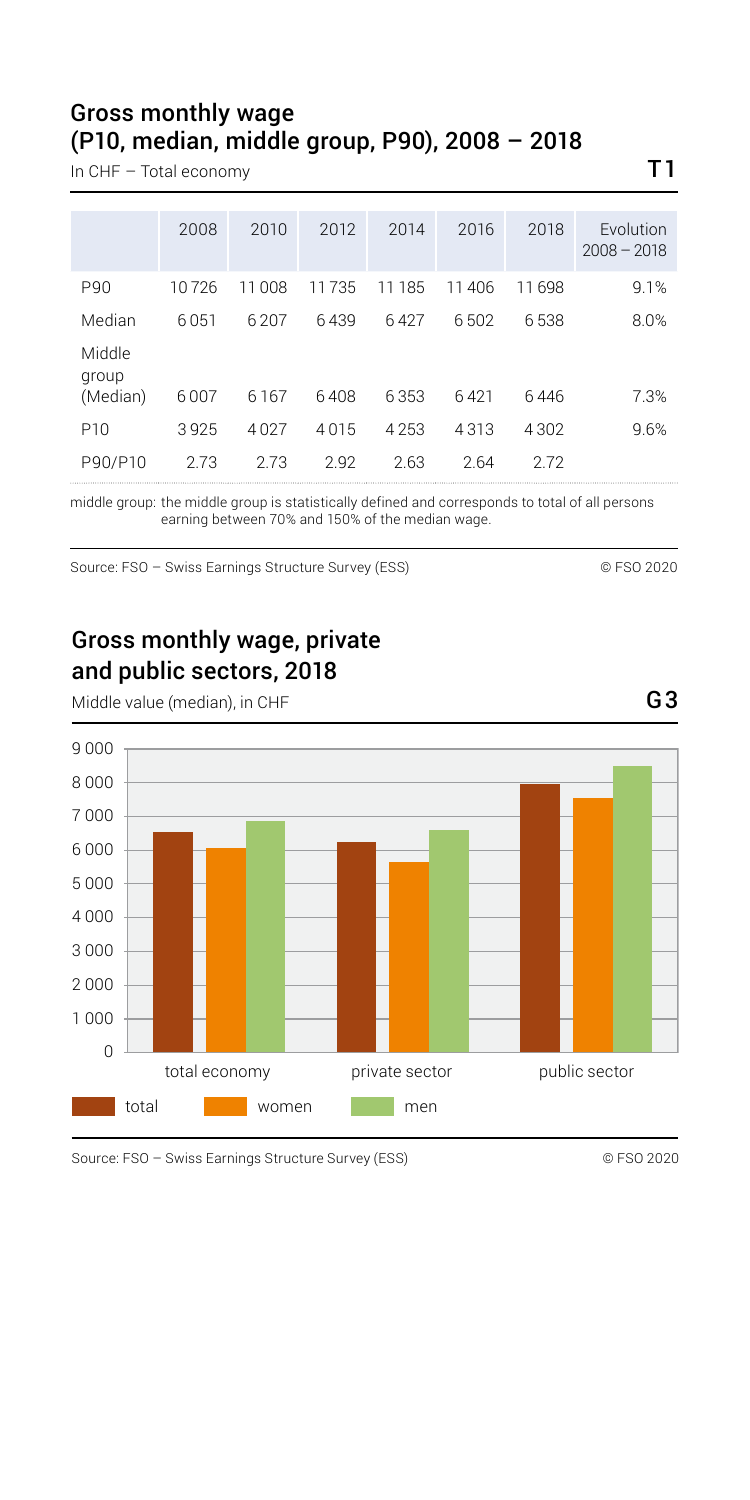### Gross monthly wage (P10, median, middle group, P90), 2008 – 2018

In CHF – Total economy  $T1$ 

|                             | 2008  | 2010  | 2012  | 2014    | 2016  | 2018  | Fvolution<br>$2008 - 2018$ |
|-----------------------------|-------|-------|-------|---------|-------|-------|----------------------------|
| P90                         | 10726 | 11008 | 11735 | 11185   | 11406 | 11698 | 9.1%                       |
| Median                      | 6051  | 6207  | 6439  | 6427    | 6502  | 6538  | 8.0%                       |
| Middle<br>group<br>(Median) | 6007  | 6167  | 6408  | 6353    | 6421  | 6446  | 7.3%                       |
| P <sub>10</sub>             | 3925  | 4027  | 4015  | 4 2 5 3 | 4313  | 4302  | 9.6%                       |
| P90/P10                     | 2.73  | 2.73  | 2.92  | 2.63    | 2.64  | 2.72  |                            |

middle group: the middle group is statistically defined and corresponds to total of all persons earning between 70% and 150% of the median wage.

Source: FSO – Swiss Earnings Structure Survey (ESS) © FSO 2020

Gross monthly wage, private and public sectors, 2018



Middle value (median), in CHF G3

Source: FSO – Swiss Earnings Structure Survey (ESS) © FSO 2020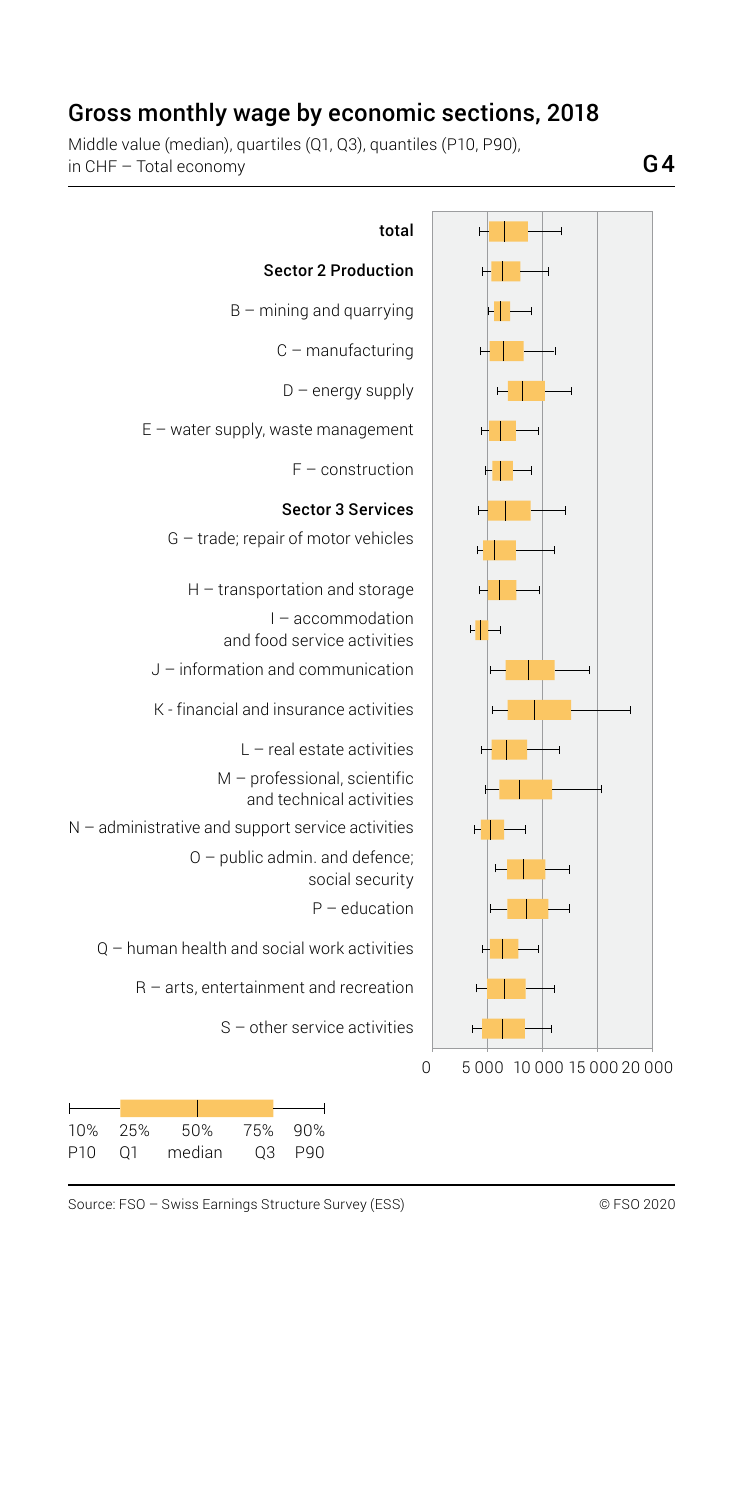### Gross monthly wage by economic sections, 2018

Middle value (median), quartiles (Q1, Q3), quantiles (P10, P90), in CHF – Total economy



| 10%             | -25% | 50%    | 75% | 90% |
|-----------------|------|--------|-----|-----|
| P <sub>10</sub> | 01   | median | O3  | P90 |

Source: FSO – Swiss Earnings Structure Survey (ESS) © FSO 2020

G4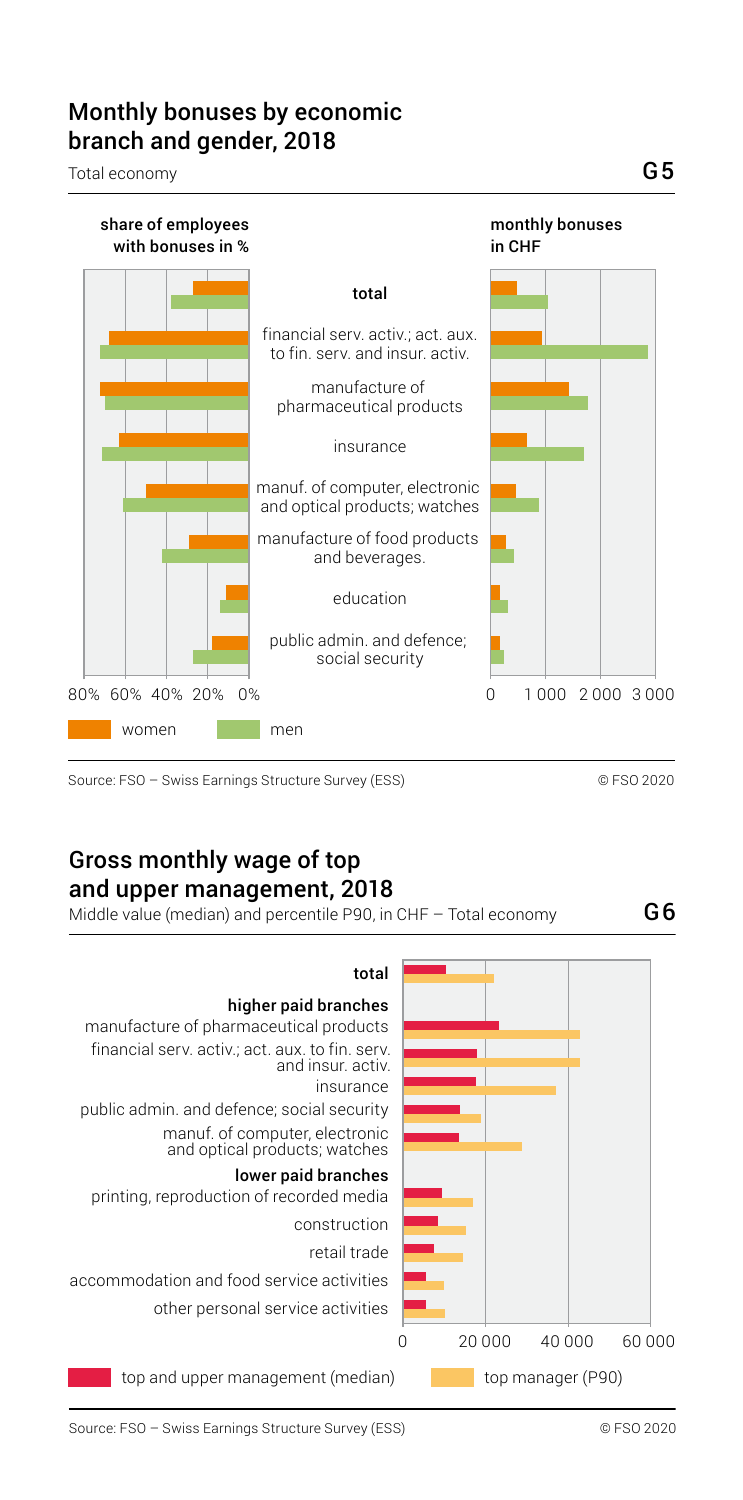### Monthly bonuses by economic branch and gender, 2018

Total economy



Source: FSO – Swiss Earnings Structure Survey (ESS) © FSO 2020

### Gross monthly wage of top and upper management, 2018

Middle value (median) and percentile P90, in CHF – Total economy  $\overline{\mathsf{G6}}$ 

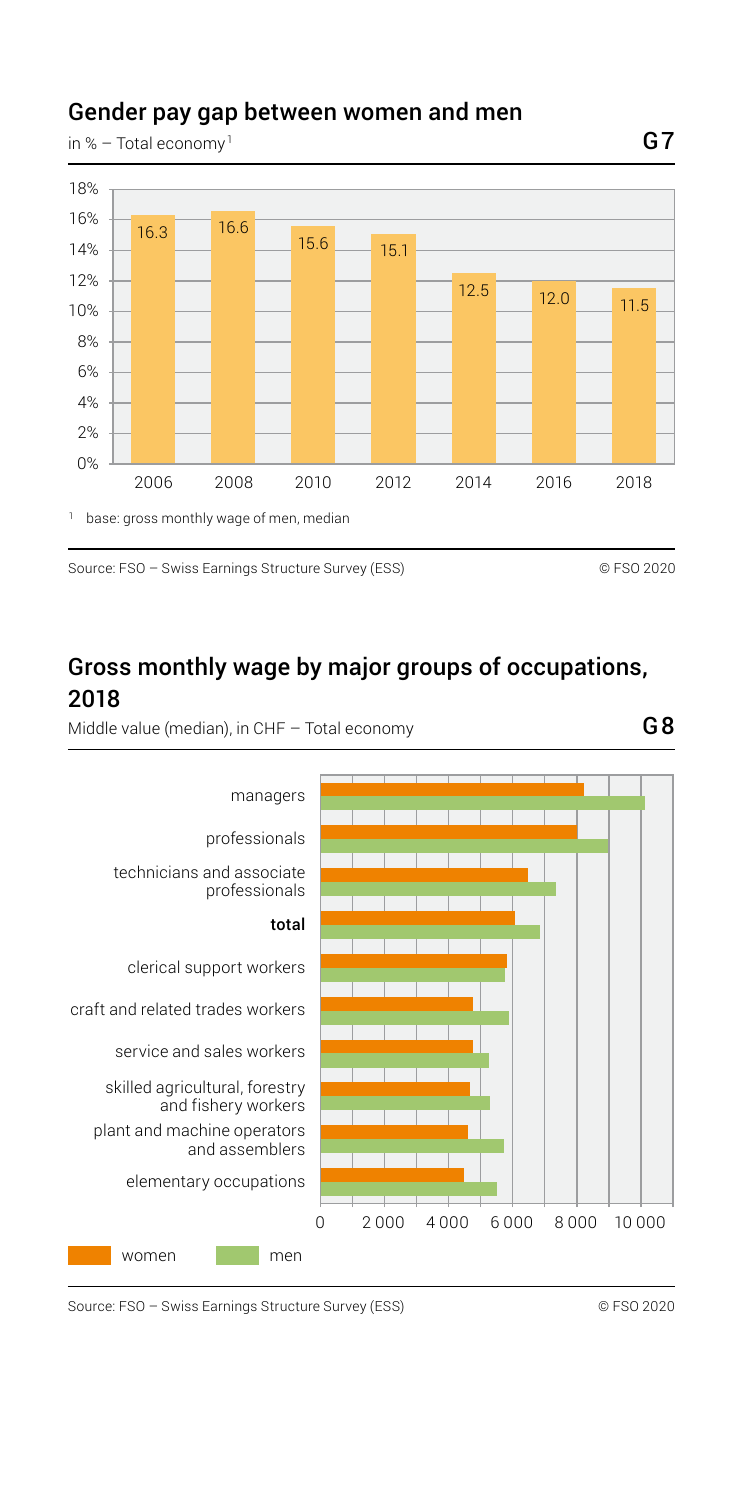#### Gender pay gap between women and men

in % – Total economy<sup>1</sup>



Source: FSO – Swiss Earnings Structure Survey (ESS) © FSO 2020

### Gross monthly wage by major groups of occupations, 2018

Middle value (median), in CHF – Total economy

G8



Source: FSO – Swiss Earnings Structure Survey (ESS) © FSO 2020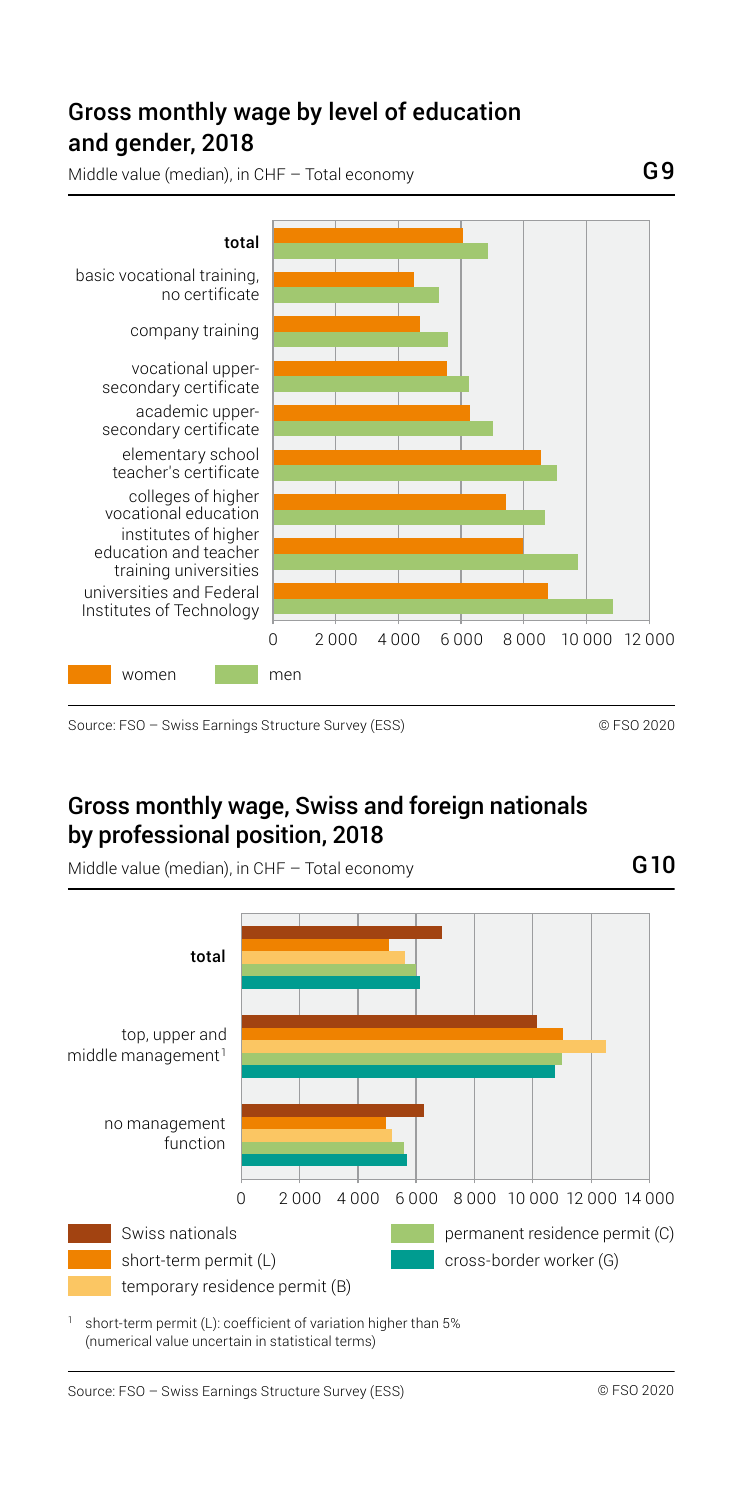## and gender, 2018 Gross monthly wage by level of education

Middle value (median), in CHF – Total economy



Source: FSO – Swiss Earnings Structure Survey (ESS) © FSO 2020

#### Gross monthly wage, Swiss and foreign nationals by professional position, 2018



Middle value (median), in CHF – Total economy  $G10$ 

<sup>1</sup> short-term permit (L): coefficient of variation higher than 5% (numerical value uncertain in statistical terms)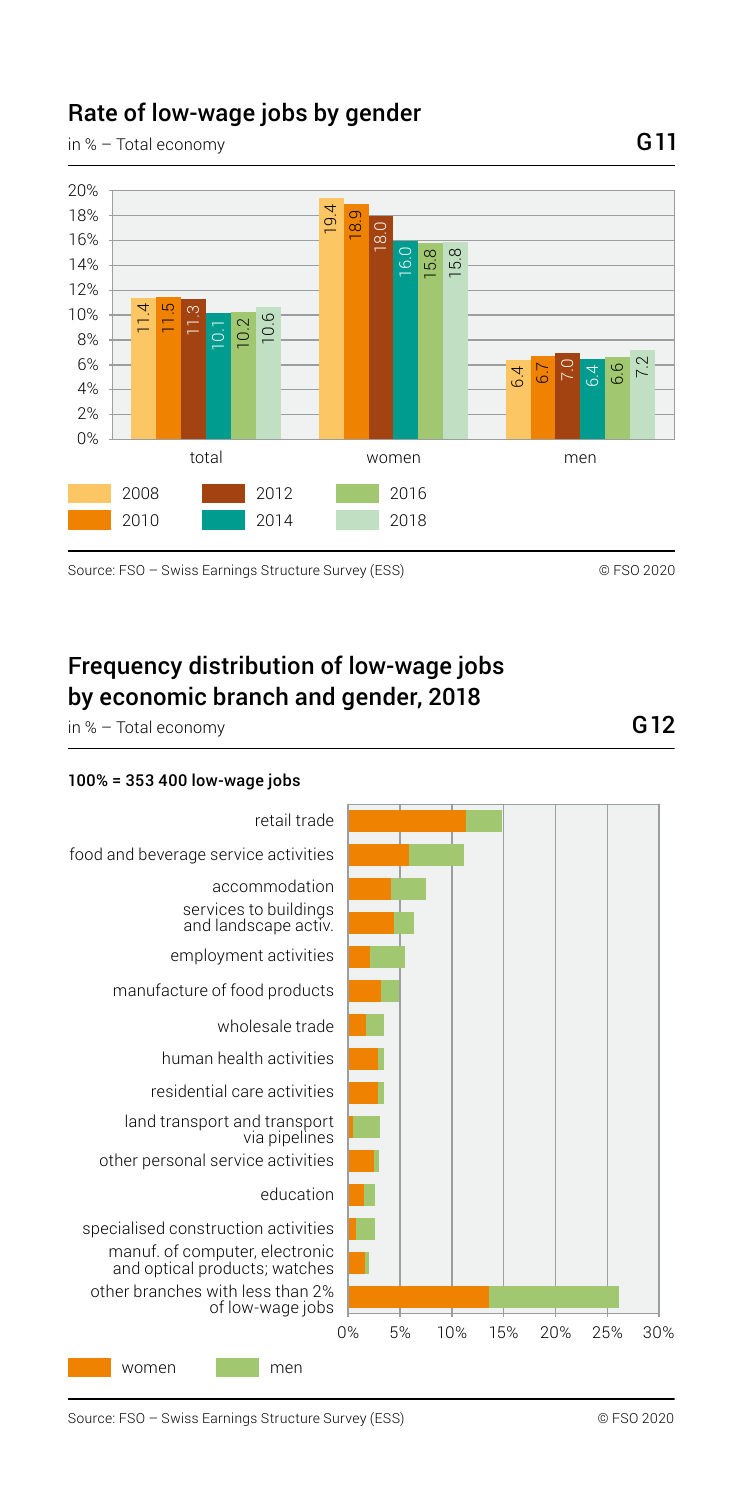# Rate of low-wage jobs by gender

in % – Total economy



Source: FSO – Swiss Earnings Structure Survey (ESS) © FSO 2020

Frequency distribution of low-wage jobs by economic branch and gender, 2018

in % – Total economy

#### 100% = 353 400 low-wage jobs



G11

G12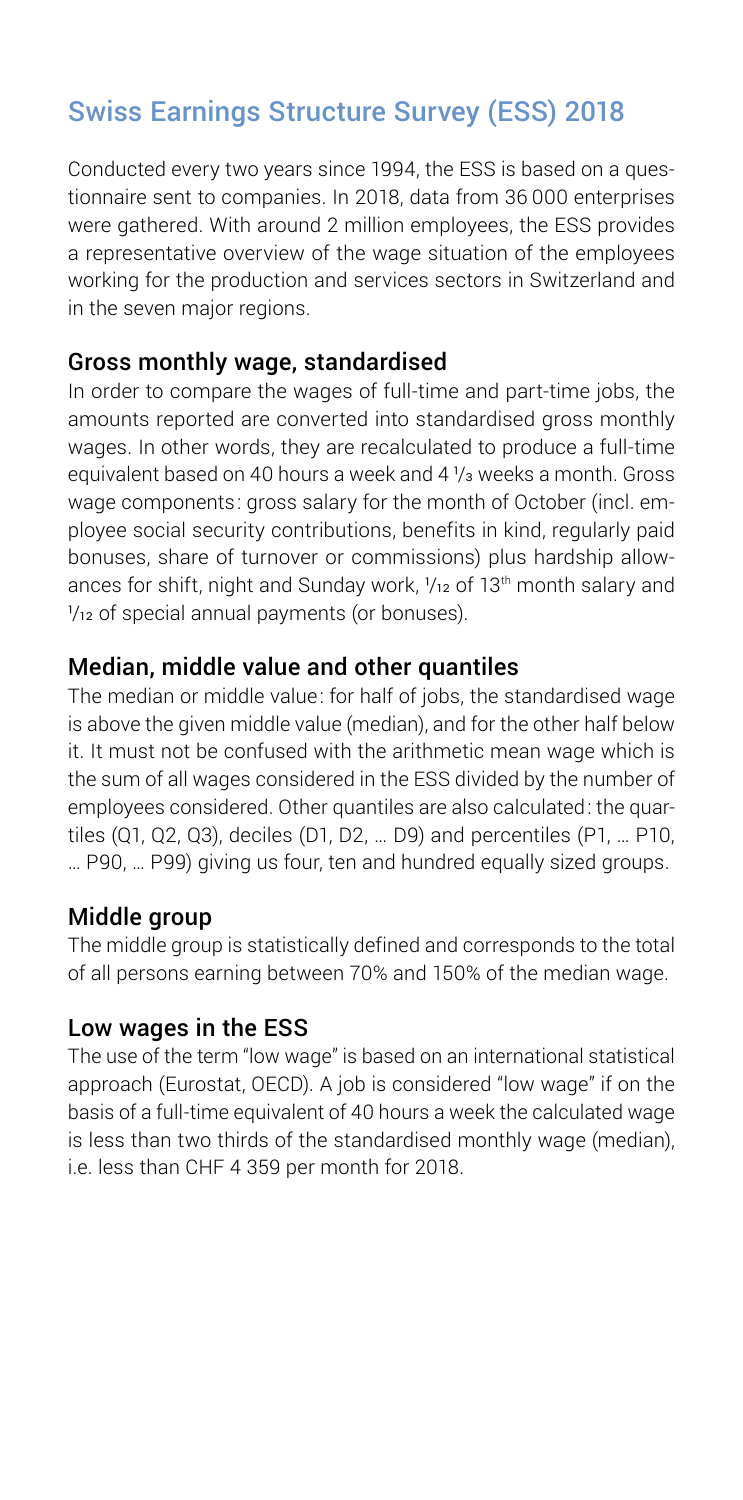# Swiss Earnings Structure Survey (ESS) 2018

Conducted every two years since 1994, the ESS is based on a questionnaire sent to companies. In 2018, data from 36 000 enterprises were gathered. With around 2 million employees, the ESS provides a representative overview of the wage situation of the employees working for the production and services sectors in Switzerland and in the seven major regions.

#### Gross monthly wage, standardised

In order to compare the wages of full-time and part-time jobs, the amounts reported are converted into standardised gross monthly wages. In other words, they are recalculated to produce a full-time equivalent based on 40 hours a week and  $4\frac{1}{3}$  weeks a month. Gross wage components: gross salary for the month of October (incl. employee social security contributions, benefits in kind, regularly paid bonuses, share of turnover or commissions) plus hardship allowances for shift, night and Sunday work,  $\frac{1}{12}$  of 13<sup>th</sup> month salary and  $\frac{1}{12}$  of special annual payments (or bonuses).

#### Median, middle value and other quantiles

The median or middle value: for half of jobs, the standardised wage is above the given middle value (median), and for the other half below it. It must not be confused with the arithmetic mean wage which is the sum of all wages considered in the ESS divided by the number of employees considered. Other quantiles are also calculated: the quartiles (Q1, Q2, Q3), deciles (D1, D2, … D9) and percentiles (P1, … P10, … P90, … P99) giving us four, ten and hundred equally sized groups.

#### Middle group

The middle group is statistically defined and corresponds to the total of all persons earning between 70% and 150% of the median wage.

#### Low wages in the ESS

The use of the term "low wage" is based on an international statistical approach (Eurostat, OECD). A job is considered "low wage" if on the basis of a full-time equivalent of 40 hours a week the calculated wage is less than two thirds of the standardised monthly wage (median), i.e. less than CHF 4 359 per month for 2018.